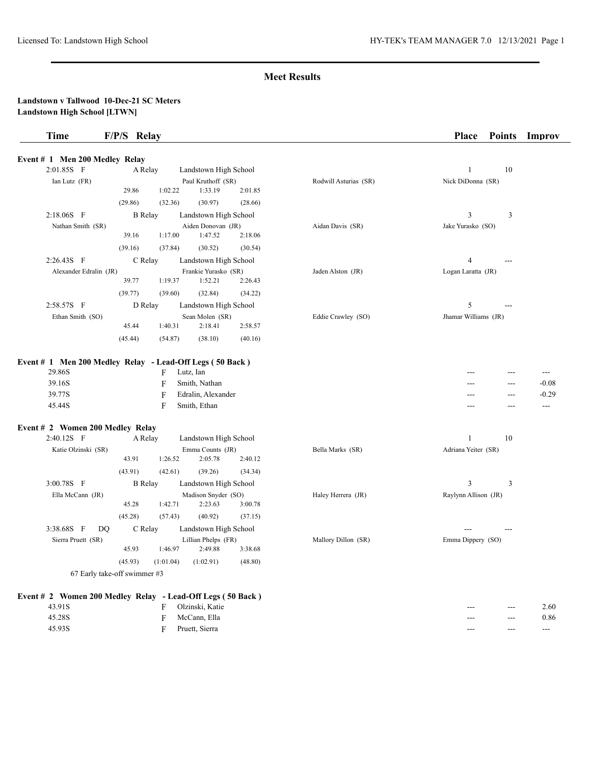| <b>Time</b>                          | F/P/S Relay                                                                                                                                      |                       | <b>Place</b><br><b>Points</b><br>Improv                                                              |
|--------------------------------------|--------------------------------------------------------------------------------------------------------------------------------------------------|-----------------------|------------------------------------------------------------------------------------------------------|
| Event # 1 Men 200 Medley Relay       |                                                                                                                                                  |                       |                                                                                                      |
| 2:01.85S F                           | A Relay<br>Landstown High School                                                                                                                 |                       | 10<br>1                                                                                              |
| Ian Lutz (FR)                        | Paul Kruthoff (SR)<br>29.86<br>1:02.22<br>1:33.19<br>2:01.85                                                                                     | Rodwill Asturias (SR) | Nick DiDonna (SR)                                                                                    |
|                                      | (29.86)<br>(32.36)<br>(30.97)<br>(28.66)                                                                                                         |                       |                                                                                                      |
| $2:18.06S$ F                         | <b>B</b> Relay<br>Landstown High School                                                                                                          |                       | 3<br>3                                                                                               |
| Nathan Smith (SR)                    | Aiden Donovan (JR)                                                                                                                               | Aidan Davis (SR)      | Jake Yurasko (SO)                                                                                    |
|                                      | 39.16<br>1:17.00<br>1:47.52<br>2:18.06                                                                                                           |                       |                                                                                                      |
|                                      | (39.16)<br>(37.84)<br>(30.54)<br>(30.52)                                                                                                         |                       |                                                                                                      |
| 2:26.43S F                           | C Relay<br>Landstown High School                                                                                                                 |                       | 4<br>---                                                                                             |
| Alexander Edralin (JR)               | Frankie Yurasko (SR)                                                                                                                             | Jaden Alston (JR)     | Logan Laratta (JR)                                                                                   |
|                                      | 39.77<br>1:19.37<br>1:52.21<br>2:26.43                                                                                                           |                       |                                                                                                      |
|                                      | (39.77)<br>(34.22)<br>(39.60)<br>(32.84)                                                                                                         |                       |                                                                                                      |
| 2:58.57S F                           | D Relay<br>Landstown High School                                                                                                                 |                       | 5<br>---                                                                                             |
| Ethan Smith (SO)                     | Sean Molen (SR)<br>2:58.57<br>45.44<br>1:40.31<br>2:18.41                                                                                        | Eddie Crawley (SO)    | Jhamar Williams (JR)                                                                                 |
|                                      | (45.44)<br>(54.87)<br>(38.10)<br>(40.16)                                                                                                         |                       |                                                                                                      |
| 29.86S<br>39.16S<br>39.77S<br>45.44S | Event # 1 Men 200 Medley Relay - Lead-Off Legs (50 Back)<br>Lutz, Ian<br>F<br>F<br>Smith, Nathan<br>Edralin, Alexander<br>F<br>Smith, Ethan<br>F |                       | $---$<br>---<br>---<br>$-0.08$<br>$\overline{a}$<br>$-0.29$<br>$---$<br>---<br>---<br>$---$<br>$---$ |
| Event # 2 Women 200 Medley Relay     |                                                                                                                                                  |                       |                                                                                                      |
| 2:40.12S F                           | Landstown High School<br>A Relay                                                                                                                 |                       | 10<br>1                                                                                              |
| Katie Olzinski (SR)                  | Emma Counts (JR)                                                                                                                                 | Bella Marks (SR)      | Adriana Yeiter (SR)                                                                                  |
|                                      | 43.91<br>2:05.78<br>2:40.12<br>1:26.52                                                                                                           |                       |                                                                                                      |
|                                      | (39.26)<br>(43.91)<br>(42.61)<br>(34.34)                                                                                                         |                       |                                                                                                      |
| 3:00.78S F                           | <b>B</b> Relay<br>Landstown High School                                                                                                          |                       | 3<br>3                                                                                               |
| Ella McCann (JR)                     | Madison Snyder (SO)<br>2:23.63<br>3:00.78<br>45.28<br>1:42.71                                                                                    | Haley Herrera (JR)    | Raylynn Allison (JR)                                                                                 |
|                                      | (45.28)<br>(57.43)<br>(40.92)<br>(37.15)                                                                                                         |                       |                                                                                                      |
| 3:38.68S F<br>DQ                     | C Relay<br>Landstown High School                                                                                                                 |                       |                                                                                                      |
| Sierra Pruett (SR)                   | Lillian Phelps (FR)                                                                                                                              | Mallory Dillon (SR)   | Emma Dippery (SO)                                                                                    |
|                                      | 45.93<br>1:46.97<br>2:49.88<br>3:38.68                                                                                                           |                       |                                                                                                      |
|                                      | (45.93)<br>(48.80)<br>(1:02.91)<br>(1:01.04)                                                                                                     |                       |                                                                                                      |
|                                      | 67 Early take-off swimmer #3                                                                                                                     |                       |                                                                                                      |
|                                      | Event # 2 Women 200 Medley Relay - Lead-Off Legs (50 Back)                                                                                       |                       |                                                                                                      |
| 43.91S                               | Olzinski, Katie<br>F                                                                                                                             |                       | 2.60<br>$---$<br>---                                                                                 |
| 45.28S                               | McCann, Ella<br>F                                                                                                                                |                       | 0.86<br>$\qquad \qquad -$                                                                            |
|                                      |                                                                                                                                                  |                       |                                                                                                      |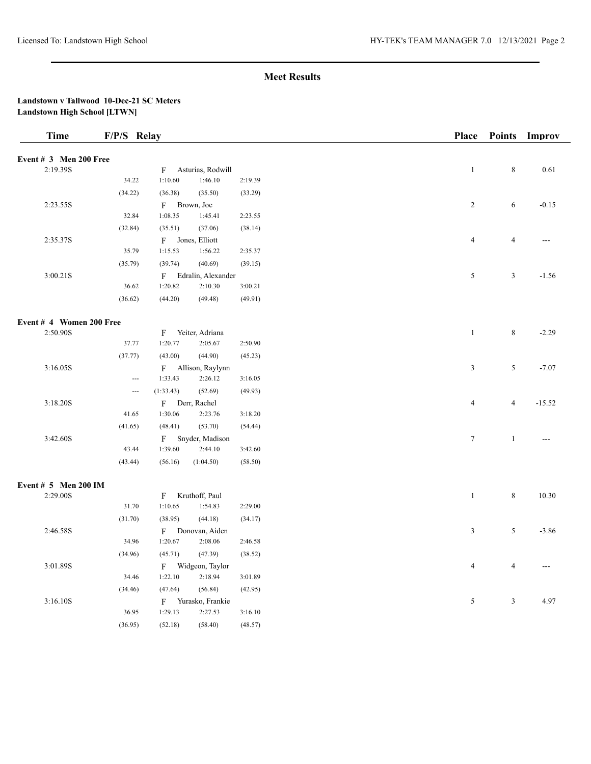## **Landstown v Tallwood 10-Dec-21 SC Meters Landstown High School [LTWN]**

| <b>Time</b>              | F/P/S Relay                   |              |                      |         | Place            | <b>Points</b>  | Improv   |
|--------------------------|-------------------------------|--------------|----------------------|---------|------------------|----------------|----------|
| Event $# 3$ Men 200 Free |                               |              |                      |         |                  |                |          |
| 2:19.39S                 |                               | F            | Asturias, Rodwill    |         | $\,1$            | $\,8\,$        | 0.61     |
|                          | 34.22                         | 1:10.60      | 1:46.10              | 2:19.39 |                  |                |          |
|                          | (34.22)                       | (36.38)      | (35.50)              | (33.29) |                  |                |          |
| 2:23.55S                 |                               |              | F Brown, Joe         |         | $\overline{2}$   | 6              | $-0.15$  |
|                          | 32.84                         | 1:08.35      | 1:45.41              | 2:23.55 |                  |                |          |
|                          | (32.84)                       | (35.51)      | (37.06)              | (38.14) |                  |                |          |
| 2:35.37S                 |                               |              | F Jones, Elliott     |         | $\overline{4}$   | $\overline{4}$ | $---$    |
|                          | 35.79                         | 1:15.53      | 1:56.22              | 2:35.37 |                  |                |          |
|                          | (35.79)                       | (39.74)      | (40.69)              | (39.15) |                  |                |          |
| 3:00.21S                 |                               |              | F Edralin, Alexander |         | 5                | $\mathfrak{Z}$ | $-1.56$  |
|                          | 36.62                         | 1:20.82      | 2:10.30              | 3:00.21 |                  |                |          |
|                          | (36.62)                       | (44.20)      | (49.48)              | (49.91) |                  |                |          |
|                          |                               |              |                      |         |                  |                |          |
| Event # 4 Women 200 Free |                               |              |                      |         |                  |                |          |
| 2:50.90S                 |                               | F            | Yeiter, Adriana      |         | $\mathbf{1}$     | 8              | $-2.29$  |
|                          | 37.77                         | 1:20.77      | 2:05.67              | 2:50.90 |                  |                |          |
|                          | (37.77)                       | (43.00)      | (44.90)              | (45.23) |                  |                |          |
| 3:16.05S                 |                               |              | F Allison, Raylynn   |         | 3                | 5              | $-7.07$  |
|                          | $\overline{\phantom{a}}$      | 1:33.43      | 2:26.12              | 3:16.05 |                  |                |          |
|                          | $\hspace{1.5cm} \textbf{---}$ | (1:33.43)    | (52.69)              | (49.93) |                  |                |          |
| 3:18.20S                 |                               |              | F Derr, Rachel       |         | $\overline{4}$   | $\overline{4}$ | $-15.52$ |
|                          | 41.65                         | 1:30.06      | 2:23.76              | 3:18.20 |                  |                |          |
|                          | (41.65)                       | (48.41)      | (53.70)              | (54.44) |                  |                |          |
| 3:42.60S                 |                               | F            | Snyder, Madison      |         | $\boldsymbol{7}$ | $\mathbf{1}$   | ---      |
|                          | 43.44                         | 1:39.60      | 2:44.10              | 3:42.60 |                  |                |          |
|                          | (43.44)                       | (56.16)      | (1:04.50)            | (58.50) |                  |                |          |
|                          |                               |              |                      |         |                  |                |          |
| Event # 5 Men 200 IM     |                               |              |                      |         |                  |                |          |
| 2:29.00S                 |                               | $\mathbf{F}$ | Kruthoff, Paul       |         | $\mathbf{1}$     | $\,8\,$        | 10.30    |
|                          | 31.70                         | 1:10.65      | 1:54.83              | 2:29.00 |                  |                |          |
|                          | (31.70)                       | (38.95)      | (44.18)              | (34.17) |                  |                |          |
| 2:46.58S                 |                               | F            | Donovan, Aiden       |         | $\mathfrak z$    | 5              | $-3.86$  |
|                          | 34.96                         | 1:20.67      | 2:08.06              | 2:46.58 |                  |                |          |
|                          | (34.96)                       | (45.71)      | (47.39)              | (38.52) |                  |                |          |
| 3:01.89S                 |                               |              | F Widgeon, Taylor    |         | $\overline{4}$   | $\overline{4}$ |          |
|                          | 34.46                         | 1:22.10      | 2:18.94              | 3:01.89 |                  |                |          |
|                          | (34.46)                       | (47.64)      | (56.84)              | (42.95) |                  |                |          |
| 3:16.10S                 |                               | F            | Yurasko, Frankie     |         | $\mathfrak s$    | $\mathfrak{Z}$ | 4.97     |
|                          | 36.95                         | 1:29.13      | 2:27.53              | 3:16.10 |                  |                |          |
|                          | (36.95)                       | (52.18)      | (58.40)              | (48.57) |                  |                |          |
|                          |                               |              |                      |         |                  |                |          |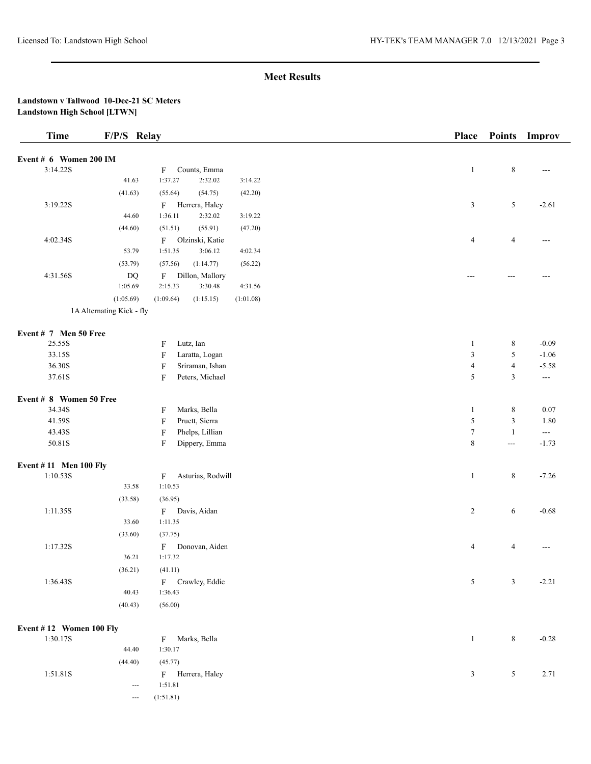# **Landstown v Tallwood 10-Dec-21 SC Meters Landstown High School [LTWN]**

--- (1:51.81)

| <b>Time</b>                  | F/P/S Relay               |                                              | <b>Place</b>   | <b>Points</b>  | Improv                                   |
|------------------------------|---------------------------|----------------------------------------------|----------------|----------------|------------------------------------------|
| Event # 6 Women 200 IM       |                           |                                              |                |                |                                          |
| 3:14.22S                     |                           | Counts, Emma<br>F                            | $\mathbf{1}$   | $\,8\,$        | ---                                      |
|                              | 41.63                     | 1:37.27<br>2:32.02<br>3:14.22                |                |                |                                          |
|                              | (41.63)                   | (55.64)<br>(54.75)<br>(42.20)                |                |                |                                          |
| 3:19.22S                     |                           | F<br>Herrera, Haley                          | $\mathfrak{Z}$ | 5              | $-2.61$                                  |
|                              | 44.60                     | 1:36.11<br>2:32.02<br>3:19.22                |                |                |                                          |
|                              | (44.60)                   | (51.51)<br>(55.91)<br>(47.20)                |                |                |                                          |
| 4:02.34S                     |                           | Olzinski, Katie<br>$\mathbf{F}$              | $\overline{4}$ | $\overline{4}$ | ---                                      |
|                              | 53.79                     | 1:51.35<br>3:06.12<br>4:02.34                |                |                |                                          |
|                              | (53.79)                   | (57.56)<br>(1:14.77)<br>(56.22)              |                |                |                                          |
| 4:31.56S                     | DQ                        | Dillon, Mallory<br>F                         | $---$          | ---            |                                          |
|                              | 1:05.69                   | 2:15.33<br>3:30.48<br>4:31.56                |                |                |                                          |
|                              | (1:05.69)                 | (1:09.64)<br>(1:15.15)<br>(1:01.08)          |                |                |                                          |
|                              | 1A Alternating Kick - fly |                                              |                |                |                                          |
|                              |                           |                                              |                |                |                                          |
| Event # 7 Men 50 Free        |                           |                                              |                |                |                                          |
| 25.55S                       |                           | Lutz, Ian<br>F                               | 1              | $\,8\,$        | $-0.09$                                  |
| 33.15S                       |                           | F<br>Laratta, Logan                          | $\mathfrak{Z}$ | 5              | $-1.06$                                  |
| 36.30S                       |                           | $\boldsymbol{\mathrm{F}}$<br>Sriraman, Ishan | $\overline{4}$ | $\overline{4}$ | $-5.58$                                  |
| 37.61S                       |                           | F<br>Peters, Michael                         | $\sqrt{5}$     | $\mathfrak z$  | $\scriptstyle\cdots$                     |
| Event # 8 Women 50 Free      |                           |                                              |                |                |                                          |
| 34.34S                       |                           | Marks, Bella<br>F                            | $\mathbf{1}$   | $\,8\,$        | 0.07                                     |
| 41.59S                       |                           | Pruett, Sierra<br>F                          | $\sqrt{5}$     | $\sqrt{3}$     | 1.80                                     |
| 43.43S                       |                           | F<br>Phelps, Lillian                         | $\tau$         | $\mathbf{1}$   | $\hspace{0.05cm} \ldots \hspace{0.05cm}$ |
| 50.81S                       |                           | F<br>Dippery, Emma                           | $\,8\,$        | $\overline{a}$ | $-1.73$                                  |
| <b>Event #11 Men 100 Fly</b> |                           |                                              |                |                |                                          |
| 1:10.53S                     |                           | Asturias, Rodwill<br>F                       | $\mathbf{1}$   | $\,$ 8 $\,$    | $-7.26$                                  |
|                              | 33.58                     | 1:10.53                                      |                |                |                                          |
|                              | (33.58)                   | (36.95)                                      |                |                |                                          |
| 1:11.35S                     |                           | F<br>Davis, Aidan                            | $\overline{c}$ | 6              | $-0.68$                                  |
|                              | 33.60                     | 1:11.35                                      |                |                |                                          |
|                              | (33.60)                   | (37.75)                                      |                |                |                                          |
| 1:17.32S                     |                           | F<br>Donovan, Aiden                          | 4              | 4              |                                          |
|                              | 36.21                     | 1:17.32                                      |                |                |                                          |
|                              | (36.21)                   | (41.11)                                      |                |                |                                          |
| 1:36.43S                     |                           | F Crawley, Eddie                             | 5              | 3              | $-2.21$                                  |
|                              | 40.43                     | 1:36.43                                      |                |                |                                          |
|                              | (40.43)                   | (56.00)                                      |                |                |                                          |
|                              |                           |                                              |                |                |                                          |
| Event #12 Women 100 Fly      |                           |                                              |                |                |                                          |
| 1:30.17S                     |                           | Marks, Bella<br>F                            | $\mathbf{1}$   | $\,8\,$        | $-0.28$                                  |
|                              | 44.40                     | 1:30.17                                      |                |                |                                          |
|                              | (44.40)                   | (45.77)                                      |                |                |                                          |
| 1:51.81S                     |                           | F Herrera, Haley                             | 3              | 5              | 2.71                                     |
|                              | ---                       | 1:51.81                                      |                |                |                                          |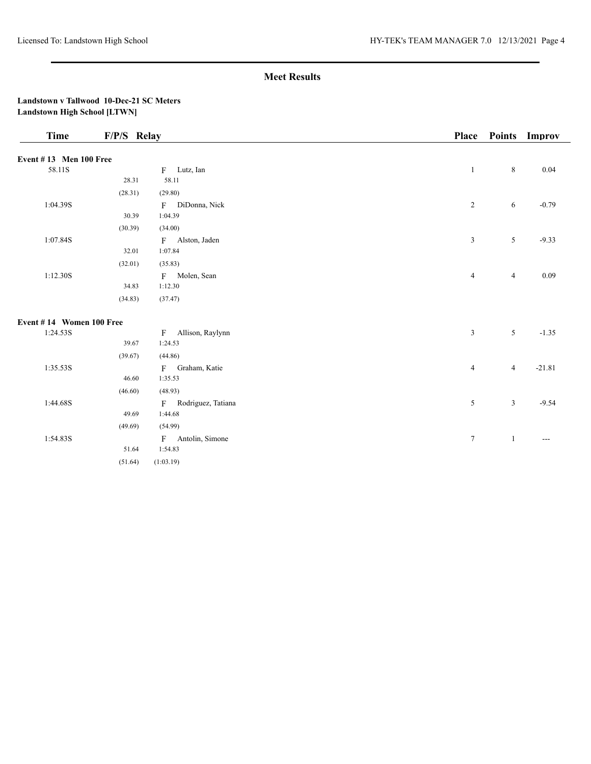## **Landstown v Tallwood 10-Dec-21 SC Meters Landstown High School [LTWN]**

| <b>Time</b><br>F/P/S Relay    |         |                                  | Place          | <b>Points</b>  | Improv            |
|-------------------------------|---------|----------------------------------|----------------|----------------|-------------------|
| <b>Event #13 Men 100 Free</b> |         |                                  |                |                |                   |
| 58.11S                        |         | F Lutz, Ian                      | $\mathbf{1}$   | 8              | 0.04              |
|                               | 28.31   | 58.11                            |                |                |                   |
|                               | (28.31) | (29.80)                          |                |                |                   |
| 1:04.39S                      |         | F DiDonna, Nick                  | $\overline{c}$ | 6              | $-0.79$           |
|                               | 30.39   | 1:04.39                          |                |                |                   |
|                               | (30.39) | (34.00)                          |                |                |                   |
| 1:07.84S                      |         | F Alston, Jaden                  | 3              | 5              | $-9.33$           |
|                               | 32.01   | 1:07.84                          |                |                |                   |
|                               | (32.01) | (35.83)                          |                |                |                   |
| 1:12.30S                      |         | F Molen, Sean                    | $\overline{4}$ | $\overline{4}$ | 0.09              |
|                               | 34.83   | 1:12.30                          |                |                |                   |
|                               | (34.83) | (37.47)                          |                |                |                   |
| Event #14 Women 100 Free      |         |                                  |                |                |                   |
| 1:24.53S                      |         | Allison, Raylynn<br>$\mathbf{F}$ | 3              | 5              | $-1.35$           |
|                               | 39.67   | 1:24.53                          |                |                |                   |
|                               | (39.67) | (44.86)                          |                |                |                   |
| 1:35.53S                      |         | F Graham, Katie                  | 4              | $\overline{4}$ | $-21.81$          |
|                               | 46.60   | 1:35.53                          |                |                |                   |
|                               | (46.60) | (48.93)                          |                |                |                   |
| 1:44.68S                      |         | F Rodriguez, Tatiana             | 5              | 3              | $-9.54$           |
|                               | 49.69   | 1:44.68                          |                |                |                   |
|                               | (49.69) | (54.99)                          |                |                |                   |
| 1:54.83S                      |         | F Antolin, Simone                | $\tau$         | $\mathbf{1}$   | $\qquad \qquad -$ |
|                               | 51.64   | 1:54.83                          |                |                |                   |
|                               | (51.64) | (1:03.19)                        |                |                |                   |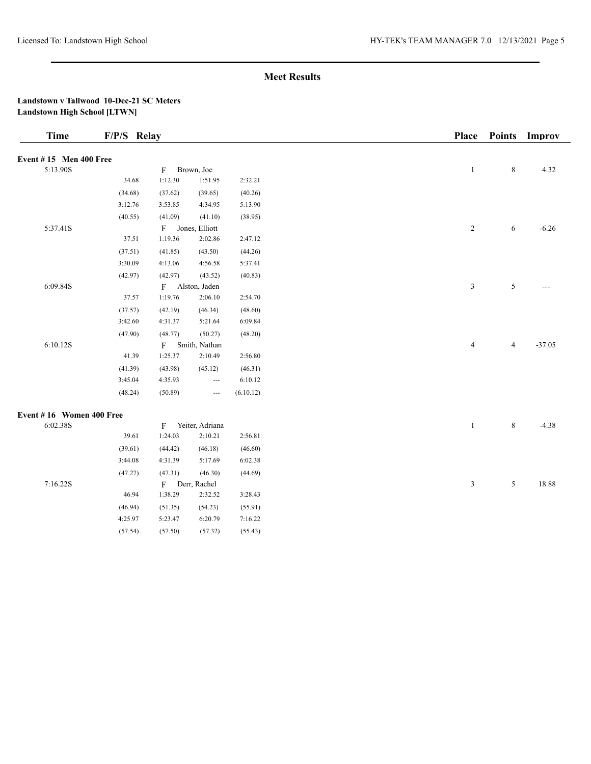## **Landstown v Tallwood 10-Dec-21 SC Meters Landstown High School [LTWN]**

| <b>Time</b>                   | F/P/S Relay |              |                               |           | <b>Place</b>   | <b>Points</b>  | Improv   |
|-------------------------------|-------------|--------------|-------------------------------|-----------|----------------|----------------|----------|
| <b>Event #15 Men 400 Free</b> |             |              |                               |           |                |                |          |
| 5:13.90S                      |             | F            | Brown, Joe                    |           | $\mathbf{1}$   | $\,8\,$        | 4.32     |
|                               | 34.68       | 1:12.30      | 1:51.95                       | 2:32.21   |                |                |          |
|                               | (34.68)     | (37.62)      | (39.65)                       | (40.26)   |                |                |          |
|                               | 3:12.76     | 3:53.85      | 4:34.95                       | 5:13.90   |                |                |          |
|                               | (40.55)     | (41.09)      | (41.10)                       | (38.95)   |                |                |          |
| 5:37.41S                      |             | F            | Jones, Elliott                |           | $\overline{c}$ | 6              | $-6.26$  |
|                               | 37.51       | 1:19.36      | 2:02.86                       | 2:47.12   |                |                |          |
|                               | (37.51)     | (41.85)      | (43.50)                       | (44.26)   |                |                |          |
|                               | 3:30.09     | 4:13.06      | 4:56.58                       | 5:37.41   |                |                |          |
|                               | (42.97)     | (42.97)      | (43.52)                       | (40.83)   |                |                |          |
| 6:09.84S                      |             | $\mathbf{F}$ | Alston, Jaden                 |           | $\mathfrak{Z}$ | $\sqrt{5}$     | $---$    |
|                               | 37.57       | 1:19.76      | 2:06.10                       | 2:54.70   |                |                |          |
|                               | (37.57)     | (42.19)      | (46.34)                       | (48.60)   |                |                |          |
|                               | 3:42.60     | 4:31.37      | 5:21.64                       | 6:09.84   |                |                |          |
|                               | (47.90)     | (48.77)      | (50.27)                       | (48.20)   |                |                |          |
| 6:10.12S                      |             | $\mathbf{F}$ | Smith, Nathan                 |           | $\overline{4}$ | $\overline{4}$ | $-37.05$ |
|                               | 41.39       | 1:25.37      | 2:10.49                       | 2:56.80   |                |                |          |
|                               | (41.39)     | (43.98)      | (45.12)                       | (46.31)   |                |                |          |
|                               | 3:45.04     | 4:35.93      | $\hspace{1.5cm} \textbf{---}$ | 6:10.12   |                |                |          |
|                               | (48.24)     | (50.89)      | $\hspace{0.05cm} \ldots$      | (6:10.12) |                |                |          |
| Event #16 Women 400 Free      |             |              |                               |           |                |                |          |
| 6:02.38S                      |             | F            | Yeiter, Adriana               |           | $\mathbf{1}$   | 8              | $-4.38$  |
|                               | 39.61       | 1:24.03      | 2:10.21                       | 2:56.81   |                |                |          |
|                               | (39.61)     | (44.42)      | (46.18)                       | (46.60)   |                |                |          |
|                               | 3:44.08     | 4:31.39      | 5:17.69                       | 6:02.38   |                |                |          |
|                               | (47.27)     | (47.31)      | (46.30)                       | (44.69)   |                |                |          |
| 7:16.22S                      |             |              | F Derr, Rachel                |           | $\mathfrak{Z}$ | $\mathfrak{S}$ | 18.88    |
|                               | 46.94       | 1:38.29      | 2:32.52                       | 3:28.43   |                |                |          |
|                               | (46.94)     | (51.35)      | (54.23)                       | (55.91)   |                |                |          |
|                               | 4:25.97     | 5:23.47      | 6:20.79                       | 7:16.22   |                |                |          |

(57.54) (57.50) (57.32) (55.43)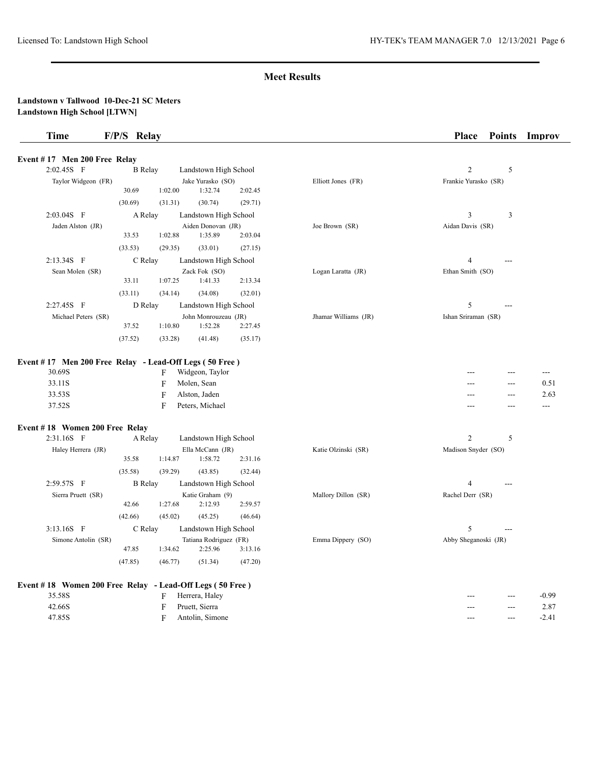#### **Landstown v Tallwood 10-Dec-21 SC Meters Landstown High School [LTWN]**

| Time                         | F/P/S Relay    |         |                                 |         |                      | <b>Place</b>         | <b>Points</b> | Improv |
|------------------------------|----------------|---------|---------------------------------|---------|----------------------|----------------------|---------------|--------|
| Event #17 Men 200 Free Relay |                |         |                                 |         |                      |                      |               |        |
| $2:02.45S$ F                 | <b>B</b> Relay |         | Landstown High School           |         |                      | $\overline{c}$       | 5             |        |
| Taylor Widgeon (FR)          | 30.69          | 1:02.00 | Jake Yurasko (SO)<br>1:32.74    | 2:02.45 | Elliott Jones (FR)   | Frankie Yurasko (SR) |               |        |
|                              | (30.69)        | (31.31) | (30.74)                         | (29.71) |                      |                      |               |        |
| $2:03.04S$ F                 | A Relay        |         | Landstown High School           |         |                      | 3                    | 3             |        |
| Jaden Alston (JR)            |                |         | Aiden Donovan (JR)              |         | Joe Brown (SR)       | Aidan Davis (SR)     |               |        |
|                              | 33.53          | 1:02.88 | 1:35.89                         | 2:03.04 |                      |                      |               |        |
|                              | (33.53)        | (29.35) | (33.01)                         | (27.15) |                      |                      |               |        |
| 2:13.34S F                   | C Relay        |         | Landstown High School           |         |                      | 4                    | $---$         |        |
| Sean Molen (SR)              |                |         | Zack Fok (SO)                   |         | Logan Laratta (JR)   | Ethan Smith (SO)     |               |        |
|                              | 33.11          | 1:07.25 | 1:41.33                         | 2:13.34 |                      |                      |               |        |
|                              | (33.11)        | (34.14) | (34.08)                         | (32.01) |                      |                      |               |        |
| 2:27.45S F                   | D Relay        |         | Landstown High School           |         |                      | 5                    | $---$         |        |
| Michael Peters (SR)          | 37.52          | 1:10.80 | John Monrouzeau (JR)<br>1:52.28 | 2:27.45 | Jhamar Williams (JR) | Ishan Sriraman (SR)  |               |        |

#### **Event # 17 Men 200 Free Relay - Lead-Off Legs ( 50 Free )**

(37.52) (33.28) (41.48) (35.17)

| 30.69S | Widgeon, Taylor                 | $- - -$ | $---$ | $- - -$ |
|--------|---------------------------------|---------|-------|---------|
| 33.11S | Molen, Sean                     | $- - -$ | $---$ | 0.51    |
| 33.53S | Alston, Jaden<br>$\blacksquare$ | $- - -$ | $---$ | 2.63    |
| 37.52S | Peters, Michael                 | $-- -$  | $---$ | $--$    |

# **Event # 18 Women 200 Free Relay**

| $2:31.16S$ F        | A Relay        |         | Landstown High School  |         |                     | $\overline{2}$       |
|---------------------|----------------|---------|------------------------|---------|---------------------|----------------------|
| Haley Herrera (JR)  |                |         | Ella McCann (JR)       |         | Katie Olzinski (SR) | Madison Snyder (SO)  |
|                     | 35.58          | 1:14.87 | 1:58.72                | 2:31.16 |                     |                      |
|                     | (35.58)        | (39.29) | (43.85)                | (32.44) |                     |                      |
| $2:59.57S$ F        | <b>B</b> Relay |         | Landstown High School  |         |                     | 4<br>$---$           |
| Sierra Pruett (SR)  |                |         | Katie Graham (9)       |         | Mallory Dillon (SR) | Rachel Derr (SR)     |
|                     | 42.66          | 1:27.68 | 2:12.93                | 2:59.57 |                     |                      |
|                     | (42.66)        | (45.02) | (45.25)                | (46.64) |                     |                      |
| $3:13.16S$ F        | C Relay        |         | Landstown High School  |         |                     | 5<br>$---$           |
| Simone Antolin (SR) |                |         | Tatiana Rodriguez (FR) |         | Emma Dippery (SO)   | Abby Sheganoski (JR) |
|                     | 47.85          | 1:34.62 | 2:25.96                | 3:13.16 |                     |                      |
|                     | (47.85)        | (46.77) | (51.34)                | (47.20) |                     |                      |

|        | Event #18 Women 200 Free Relay - Lead-Off Legs (50 Free) |    |                 |
|--------|----------------------------------------------------------|----|-----------------|
| 35.58S |                                                          | Е. | Herrera, Haley  |
| 42.66S |                                                          | E. | Pruett, Sierra  |
| 47.85S |                                                          | F. | Antolin, Simone |

|                   | $\overline{2}$<br>5 |  |
|-------------------|---------------------|--|
| ie Olzinski (SR)  | Madison Snyder (SO) |  |
|                   | 4<br>---            |  |
| llory Dillon (SR) | Rachel Derr (SR)    |  |
|                   | $--$                |  |

|  | $-0.99$ |
|--|---------|
|  | 2.87    |
|  | $-2.41$ |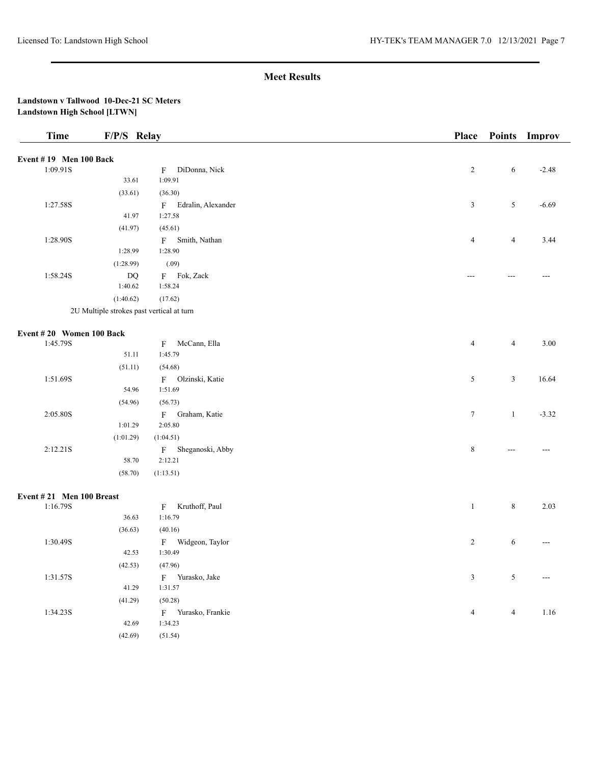## **Landstown v Tallwood 10-Dec-21 SC Meters Landstown High School [LTWN]**

| <b>Time</b>                          | F/P/S Relay                               |                                | <b>Place</b>      |                | Points Improv |
|--------------------------------------|-------------------------------------------|--------------------------------|-------------------|----------------|---------------|
| Event #19 Men 100 Back               |                                           |                                |                   |                |               |
| 1:09.91S                             |                                           | DiDonna, Nick<br>$\mathbf{F}$  | $\overline{2}$    | 6              | $-2.48$       |
|                                      | 33.61                                     | 1:09.91                        |                   |                |               |
|                                      | (33.61)                                   | (36.30)                        |                   |                |               |
| 1:27.58S                             |                                           | F Edralin, Alexander           | $\mathfrak{Z}$    | $\sqrt{5}$     | $-6.69$       |
|                                      | 41.97                                     | 1:27.58                        |                   |                |               |
|                                      | (41.97)                                   | (45.61)                        |                   |                |               |
| 1:28.90S                             |                                           | F Smith, Nathan                | $\overline{4}$    | $\overline{4}$ | 3.44          |
|                                      | 1:28.99                                   | 1:28.90                        |                   |                |               |
|                                      | (1:28.99)                                 | (.09)                          |                   |                |               |
| 1:58.24S                             | $\mathbf{D}\mathbf{Q}$                    | F Fok, Zack                    | $\qquad \qquad -$ | $---$          | ---           |
|                                      | 1:40.62                                   | 1:58.24                        |                   |                |               |
|                                      | (1:40.62)                                 | (17.62)                        |                   |                |               |
|                                      | 2U Multiple strokes past vertical at turn |                                |                   |                |               |
|                                      |                                           |                                |                   |                |               |
| Event #20 Women 100 Back<br>1:45.79S |                                           | McCann, Ella<br>$\mathbf{F}$   | $\overline{4}$    | $\overline{4}$ | 3.00          |
|                                      | 51.11                                     | 1:45.79                        |                   |                |               |
|                                      | (51.11)                                   | (54.68)                        |                   |                |               |
| 1:51.69S                             |                                           | F Olzinski, Katie              | 5                 | $\mathfrak{Z}$ | 16.64         |
|                                      | 54.96                                     | 1:51.69                        |                   |                |               |
|                                      | (54.96)                                   | (56.73)                        |                   |                |               |
| 2:05.80S                             |                                           | F Graham, Katie                | $\tau$            | $\mathbf{1}$   | $-3.32$       |
|                                      | 1:01.29                                   | 2:05.80                        |                   |                |               |
|                                      | (1:01.29)                                 | (1:04.51)                      |                   |                |               |
| 2:12.21S                             |                                           | F Sheganoski, Abby             | $\,$ 8 $\,$       | $---$          | $---$         |
|                                      | 58.70                                     | 2:12.21                        |                   |                |               |
|                                      | (58.70)                                   | (1:13.51)                      |                   |                |               |
| Event #21 Men 100 Breast             |                                           |                                |                   |                |               |
| 1:16.79S                             |                                           | Kruthoff, Paul<br>$\mathbf{F}$ | $\mathbf{1}$      | $\,$ 8 $\,$    | 2.03          |
|                                      | 36.63                                     | 1:16.79                        |                   |                |               |
|                                      | (36.63)                                   | (40.16)                        |                   |                |               |
| 1:30.49S                             |                                           | F Widgeon, Taylor              | $\overline{2}$    | 6              | ---           |
|                                      | 42.53                                     | 1:30.49                        |                   |                |               |
|                                      | (42.53)                                   | (47.96)                        |                   |                |               |
| 1:31.57S                             |                                           | F Yurasko, Jake                | $\sqrt{3}$        | $\sqrt{5}$     | ---           |
|                                      | 41.29                                     | 1:31.57                        |                   |                |               |
|                                      | (41.29)                                   | (50.28)                        |                   |                |               |
| 1:34.23S                             |                                           | F Yurasko, Frankie             | 4                 | $\overline{4}$ | 1.16          |
|                                      | 42.69                                     | 1:34.23                        |                   |                |               |
|                                      | (42.69)                                   | (51.54)                        |                   |                |               |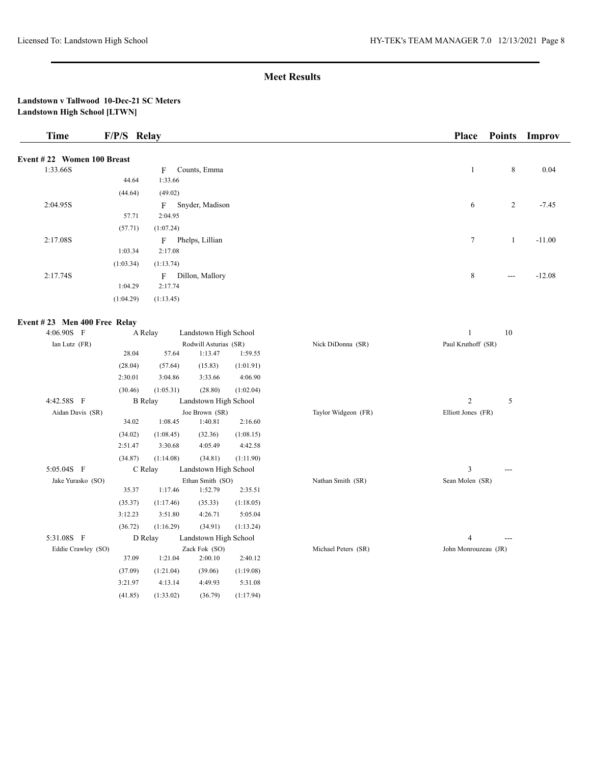## **Landstown v Tallwood 10-Dec-21 SC Meters Landstown High School [LTWN]**

| Time                         | F/P/S Relay |                                 | <b>Place</b> |                   | Points Improv |
|------------------------------|-------------|---------------------------------|--------------|-------------------|---------------|
| Event #22 Women 100 Breast   |             |                                 |              |                   |               |
| 1:33.66S                     |             | Counts, Emma<br>F               | 1            | 8                 | 0.04          |
|                              | 44.64       | 1:33.66                         |              |                   |               |
|                              | (44.64)     | (49.02)                         |              |                   |               |
| 2:04.95S                     |             | Snyder, Madison<br>$\mathbf{F}$ | 6            | 2                 | $-7.45$       |
|                              | 57.71       | 2:04.95                         |              |                   |               |
|                              | (57.71)     | (1:07.24)                       |              |                   |               |
| 2:17.08S                     |             | Phelps, Lillian<br>F            | $\tau$       | 1                 | $-11.00$      |
|                              | 1:03.34     | 2:17.08                         |              |                   |               |
|                              | (1:03.34)   | (1:13.74)                       |              |                   |               |
| 2:17.74S                     |             | Dillon, Mallory<br>F            | 8            | $\qquad \qquad -$ | $-12.08$      |
|                              | 1:04.29     | 2:17.74                         |              |                   |               |
|                              | (1:04.29)   | (1:13.45)                       |              |                   |               |
| Event #23 Men 400 Free Relay |             |                                 |              |                   |               |

# **EVENT # 23** MEN 400 FFC REALY

| 4:06.90S F         | A Relay        |           | Landstown High School |           |                     | 10                   |
|--------------------|----------------|-----------|-----------------------|-----------|---------------------|----------------------|
| Ian Lutz (FR)      |                |           | Rodwill Asturias (SR) |           | Nick DiDonna (SR)   | Paul Kruthoff (SR)   |
|                    | 28.04          | 57.64     | 1:13.47               | 1:59.55   |                     |                      |
|                    | (28.04)        | (57.64)   | (15.83)               | (1:01.91) |                     |                      |
|                    | 2:30.01        | 3:04.86   | 3:33.66               | 4:06.90   |                     |                      |
|                    | (30.46)        | (1:05.31) | (28.80)               | (1:02.04) |                     |                      |
| 4:42.58S F         | <b>B</b> Relay |           | Landstown High School |           |                     | $\mathbf{2}$<br>5    |
| Aidan Davis (SR)   |                |           | Joe Brown (SR)        |           | Taylor Widgeon (FR) | Elliott Jones (FR)   |
|                    | 34.02          | 1:08.45   | 1:40.81               | 2:16.60   |                     |                      |
|                    | (34.02)        | (1:08.45) | (32.36)               | (1:08.15) |                     |                      |
|                    | 2:51.47        | 3:30.68   | 4:05.49               | 4:42.58   |                     |                      |
|                    | (34.87)        | (1:14.08) | (34.81)               | (1:11.90) |                     |                      |
| 5:05.04S F         | C Relay        |           | Landstown High School |           |                     | 3                    |
| Jake Yurasko (SO)  |                |           | Ethan Smith (SO)      |           | Nathan Smith (SR)   | Sean Molen (SR)      |
|                    | 35.37          | 1:17.46   | 1:52.79               | 2:35.51   |                     |                      |
|                    | (35.37)        | (1:17.46) | (35.33)               | (1:18.05) |                     |                      |
|                    | 3:12.23        | 3:51.80   | 4:26.71               | 5:05.04   |                     |                      |
|                    | (36.72)        | (1:16.29) | (34.91)               | (1:13.24) |                     |                      |
| 5:31.08S F         | D Relay        |           | Landstown High School |           |                     | 4                    |
| Eddie Crawley (SO) |                |           | Zack Fok (SO)         |           | Michael Peters (SR) | John Monrouzeau (JR) |
|                    | 37.09          | 1:21.04   | 2:00.10               | 2:40.12   |                     |                      |
|                    | (37.09)        | (1:21.04) | (39.06)               | (1:19.08) |                     |                      |
|                    | 3:21.97        | 4:13.14   | 4:49.93               | 5:31.08   |                     |                      |
|                    | (41.85)        | (1:33.02) | (36.79)               | (1:17.94) |                     |                      |

|                   | .                  |  |
|-------------------|--------------------|--|
| Nick DiDonna (SR) | Paul Kruthoff (SR) |  |
|                   |                    |  |
|                   |                    |  |